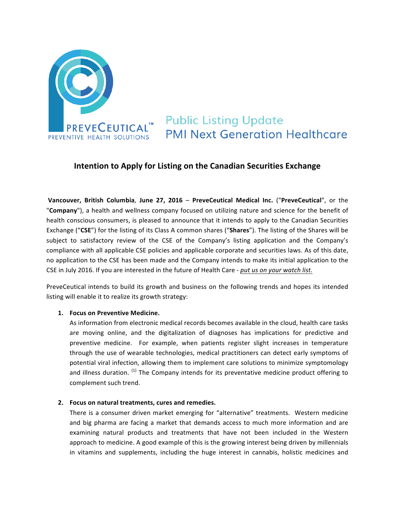

**Public Listing Update PMI Next Generation Healthcare** 

# **Intention to Apply for Listing on the Canadian Securities Exchange**

**Vancouver, British Columbia**, **June 27, 2016** – **PreveCeutical Medical Inc.** ("**PreveCeutical**", or the "**Company**"), a health and wellness company focused on utilizing nature and science for the benefit of health conscious consumers, is pleased to announce that it intends to apply to the Canadian Securities Exchange ("CSE") for the listing of its Class A common shares ("Shares"). The listing of the Shares will be subject to satisfactory review of the CSE of the Company's listing application and the Company's compliance with all applicable CSE policies and applicable corporate and securities laws. As of this date, no application to the CSE has been made and the Company intends to make its initial application to the CSE in July 2016. If you are interested in the future of Health Care - *put us on your watch list.* 

PreveCeutical intends to build its growth and business on the following trends and hopes its intended listing will enable it to realize its growth strategy:

# **1. Focus on Preventive Medicine.**

As information from electronic medical records becomes available in the cloud, health care tasks are moving online, and the digitalization of diagnoses has implications for predictive and preventive medicine. For example, when patients register slight increases in temperature through the use of wearable technologies, medical practitioners can detect early symptoms of potential viral infection, allowing them to implement care solutions to minimize symptomology and illness duration.  $(1)$  The Company intends for its preventative medicine product offering to complement such trend.

# 2. Focus on natural treatments, cures and remedies.

There is a consumer driven market emerging for "alternative" treatments. Western medicine and big pharma are facing a market that demands access to much more information and are examining natural products and treatments that have not been included in the Western approach to medicine. A good example of this is the growing interest being driven by millennials in vitamins and supplements, including the huge interest in cannabis, holistic medicines and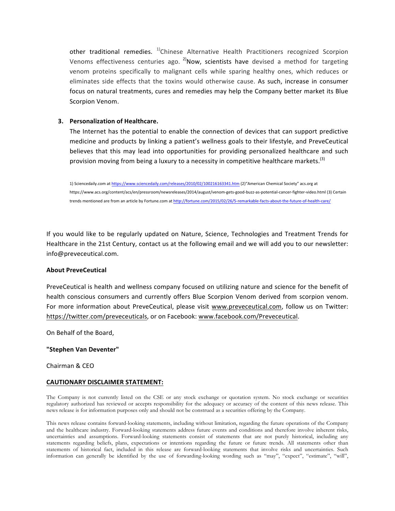other traditional remedies. <sup>1)</sup>Chinese Alternative Health Practitioners recognized Scorpion Venoms effectiveness centuries ago.  $^{2}$ Now, scientists have devised a method for targeting venom proteins specifically to malignant cells while sparing healthy ones, which reduces or eliminates side effects that the toxins would otherwise cause. As such, increase in consumer focus on natural treatments, cures and remedies may help the Company better market its Blue Scorpion Venom.

## **3. Personalization of Healthcare.**

The Internet has the potential to enable the connection of devices that can support predictive medicine and products by linking a patient's wellness goals to their lifestyle, and PreveCeutical believes that this may lead into opportunities for providing personalized healthcare and such provision moving from being a luxury to a necessity in competitive healthcare markets.<sup>(3)</sup>

1) Sciencedaily.com at https://www.sciencedaily.com/releases/2010/02/100216163341.htm (2)"American Chemical Society" acs.org at https://www.acs.org/content/acs/en/pressroom/newsreleases/2014/august/venom-gets-good-buzz-as-potential-cancer-fighter-video.html (3) Certain trends mentioned are from an article by Fortune.com at http://fortune.com/2015/02/26/5-remarkable-facts-about-the-future-of-health-care/

If you would like to be regularly updated on Nature, Science, Technologies and Treatment Trends for Healthcare in the 21st Century, contact us at the following email and we will add you to our newsletter: info@preveceutical.com.

## **About PreveCeutical**

PreveCeutical is health and wellness company focused on utilizing nature and science for the benefit of health conscious consumers and currently offers Blue Scorpion Venom derived from scorpion venom. For more information about PreveCeutical, please visit www.preveceutical.com, follow us on Twitter: https://twitter.com/preveceuticals, or on Facebook: www.facebook.com/Preveceutical.

On Behalf of the Board,

## **"Stephen Van Deventer"**

Chairman & CEO

## **CAUTIONARY DISCLAIMER STATEMENT:**

The Company is not currently listed on the CSE or any stock exchange or quotation system. No stock exchange or securities regulatory authorized has reviewed or accepts responsibility for the adequacy or accuracy of the content of this news release. This news release is for information purposes only and should not be construed as a securities offering by the Company.

This news release contains forward-looking statements, including without limitation, regarding the future operations of the Company and the healthcare industry. Forward-looking statements address future events and conditions and therefore involve inherent risks, uncertainties and assumptions. Forward-looking statements consist of statements that are not purely historical, including any statements regarding beliefs, plans, expectations or intentions regarding the future or future trends. All statements other than statements of historical fact, included in this release are forward-looking statements that involve risks and uncertainties. Such information can generally be identified by the use of forwarding-looking wording such as "may", "expect", "estimate", "will",